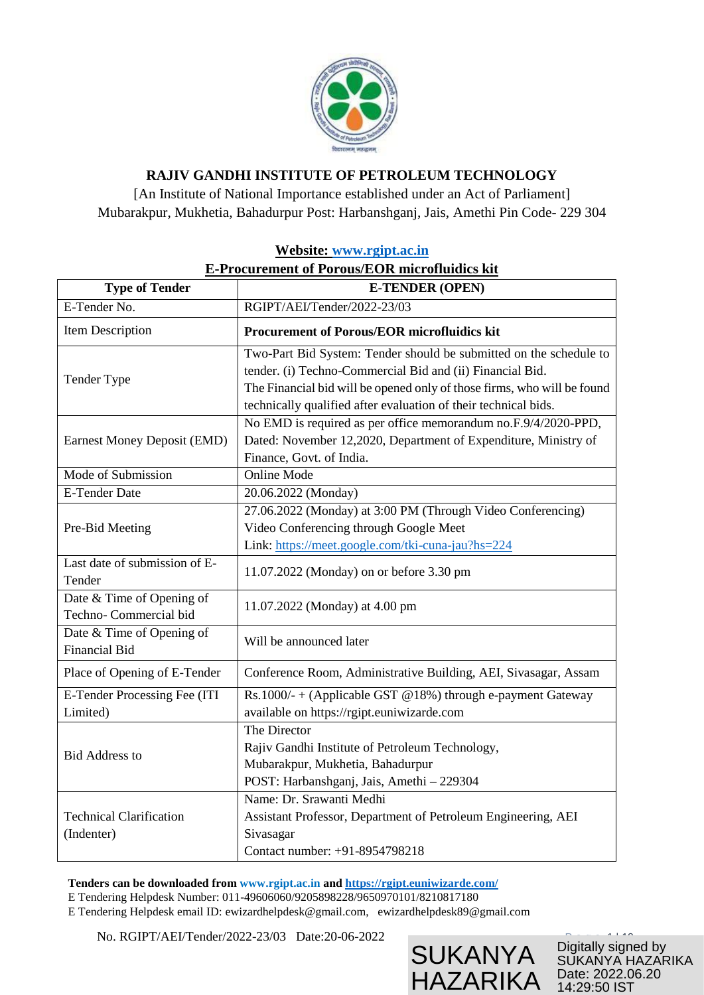

# **RAJIV GANDHI INSTITUTE OF PETROLEUM TECHNOLOGY**

[An Institute of National Importance established under an Act of Parliament] Mubarakpur, Mukhetia, Bahadurpur Post: Harbanshganj, Jais, Amethi Pin Code- 229 304

| <u>recosite. Www.igipt.ac.ill</u><br><b>E-Procurement of Porous/EOR microfluidics kit</b> |                                                                                                                                                                                                                                                                               |  |
|-------------------------------------------------------------------------------------------|-------------------------------------------------------------------------------------------------------------------------------------------------------------------------------------------------------------------------------------------------------------------------------|--|
| <b>Type of Tender</b><br><b>E-TENDER (OPEN)</b>                                           |                                                                                                                                                                                                                                                                               |  |
| E-Tender No.                                                                              | RGIPT/AEI/Tender/2022-23/03                                                                                                                                                                                                                                                   |  |
| Item Description                                                                          | <b>Procurement of Porous/EOR microfluidics kit</b>                                                                                                                                                                                                                            |  |
| Tender Type                                                                               | Two-Part Bid System: Tender should be submitted on the schedule to<br>tender. (i) Techno-Commercial Bid and (ii) Financial Bid.<br>The Financial bid will be opened only of those firms, who will be found<br>technically qualified after evaluation of their technical bids. |  |
| Earnest Money Deposit (EMD)                                                               | No EMD is required as per office memorandum no.F.9/4/2020-PPD,<br>Dated: November 12,2020, Department of Expenditure, Ministry of<br>Finance, Govt. of India.                                                                                                                 |  |
| Mode of Submission                                                                        | <b>Online Mode</b>                                                                                                                                                                                                                                                            |  |
| <b>E-Tender Date</b>                                                                      | 20.06.2022 (Monday)                                                                                                                                                                                                                                                           |  |
| Pre-Bid Meeting                                                                           | 27.06.2022 (Monday) at 3:00 PM (Through Video Conferencing)<br>Video Conferencing through Google Meet<br>Link: https://meet.google.com/tki-cuna-jau?hs=224                                                                                                                    |  |
| Last date of submission of E-<br>Tender                                                   | 11.07.2022 (Monday) on or before 3.30 pm                                                                                                                                                                                                                                      |  |
| Date & Time of Opening of<br>Techno-Commercial bid                                        | 11.07.2022 (Monday) at 4.00 pm                                                                                                                                                                                                                                                |  |
| Date & Time of Opening of<br><b>Financial Bid</b>                                         | Will be announced later                                                                                                                                                                                                                                                       |  |
| Place of Opening of E-Tender                                                              | Conference Room, Administrative Building, AEI, Sivasagar, Assam                                                                                                                                                                                                               |  |
| E-Tender Processing Fee (ITI<br>Limited)                                                  | Rs.1000/- + (Applicable GST @18%) through e-payment Gateway<br>available on https://rgipt.euniwizarde.com                                                                                                                                                                     |  |
| <b>Bid Address to</b>                                                                     | The Director<br>Rajiv Gandhi Institute of Petroleum Technology,<br>Mubarakpur, Mukhetia, Bahadurpur<br>POST: Harbanshganj, Jais, Amethi - 229304                                                                                                                              |  |
| <b>Technical Clarification</b><br>(Indenter)                                              | Name: Dr. Srawanti Medhi<br>Assistant Professor, Department of Petroleum Engineering, AEI<br>Sivasagar<br>Contact number: +91-8954798218                                                                                                                                      |  |

# **Website: [www.rgipt.ac.in](http://www.rgipt.ac.in/)**

**Tenders can be downloaded from www.rgipt.ac.in and<https://rgipt.euniwizarde.com/>**

E Tendering Helpdesk Number: 011-49606060/9205898228/9650970101/8210817180

E Tendering Helpdesk email ID: [ewizardhelpdesk@gmail.com,](mailto:ewizardhelpdesk@gmail.com) ewizardhelpdesk89@gmail.com

No. RGIPT/AEI/Tender/2022-23/03 Date: 20-06-2022



Digitally signed by SUKANYA HAZARIKA Date: 2022.06.20 14:29:50 IST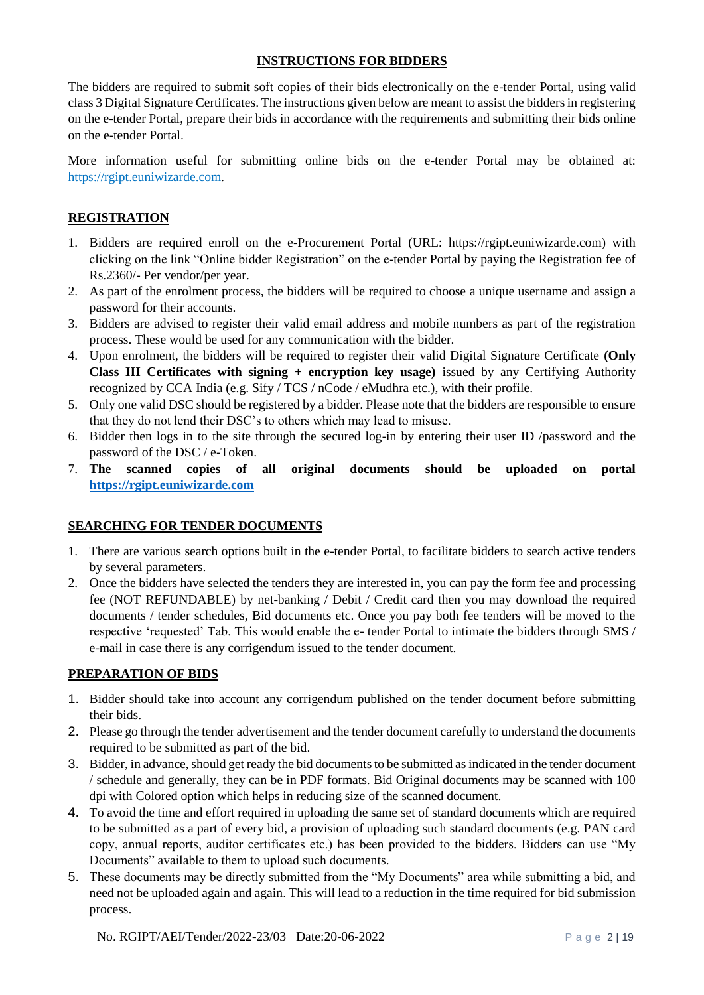## **INSTRUCTIONS FOR BIDDERS**

The bidders are required to submit soft copies of their bids electronically on the e-tender Portal, using valid class 3 Digital Signature Certificates. The instructions given below are meant to assist the bidders in registering on the e-tender Portal, prepare their bids in accordance with the requirements and submitting their bids online on the e-tender Portal.

More information useful for submitting online bids on the e-tender Portal may be obtained at: https://rgipt.euniwizarde.com.

# **REGISTRATION**

- 1. Bidders are required enroll on the e-Procurement Portal (URL: https://rgipt.euniwizarde.com) with clicking on the link "Online bidder Registration" on the e-tender Portal by paying the Registration fee of Rs.2360/- Per vendor/per year.
- 2. As part of the enrolment process, the bidders will be required to choose a unique username and assign a password for their accounts.
- 3. Bidders are advised to register their valid email address and mobile numbers as part of the registration process. These would be used for any communication with the bidder.
- 4. Upon enrolment, the bidders will be required to register their valid Digital Signature Certificate **(Only Class III Certificates with signing + encryption key usage)** issued by any Certifying Authority recognized by CCA India (e.g. Sify / TCS / nCode / eMudhra etc.), with their profile.
- 5. Only one valid DSC should be registered by a bidder. Please note that the bidders are responsible to ensure that they do not lend their DSC's to others which may lead to misuse.
- 6. Bidder then logs in to the site through the secured log-in by entering their user ID /password and the password of the DSC / e-Token.
- 7. **The scanned copies of all original documents should be uploaded on portal [https://rgipt.euniwizarde.com](https://rgipt.euniwizarde.com/)**

# **SEARCHING FOR TENDER DOCUMENTS**

- 1. There are various search options built in the e-tender Portal, to facilitate bidders to search active tenders by several parameters.
- 2. Once the bidders have selected the tenders they are interested in, you can pay the form fee and processing fee (NOT REFUNDABLE) by net-banking / Debit / Credit card then you may download the required documents / tender schedules, Bid documents etc. Once you pay both fee tenders will be moved to the respective 'requested' Tab. This would enable the e- tender Portal to intimate the bidders through SMS / e-mail in case there is any corrigendum issued to the tender document.

# **PREPARATION OF BIDS**

- 1. Bidder should take into account any corrigendum published on the tender document before submitting their bids.
- 2. Please go through the tender advertisement and the tender document carefully to understand the documents required to be submitted as part of the bid.
- 3. Bidder, in advance, should get ready the bid documents to be submitted as indicated in the tender document / schedule and generally, they can be in PDF formats. Bid Original documents may be scanned with 100 dpi with Colored option which helps in reducing size of the scanned document.
- 4. To avoid the time and effort required in uploading the same set of standard documents which are required to be submitted as a part of every bid, a provision of uploading such standard documents (e.g. PAN card copy, annual reports, auditor certificates etc.) has been provided to the bidders. Bidders can use "My Documents" available to them to upload such documents.
- 5. These documents may be directly submitted from the "My Documents" area while submitting a bid, and need not be uploaded again and again. This will lead to a reduction in the time required for bid submission process.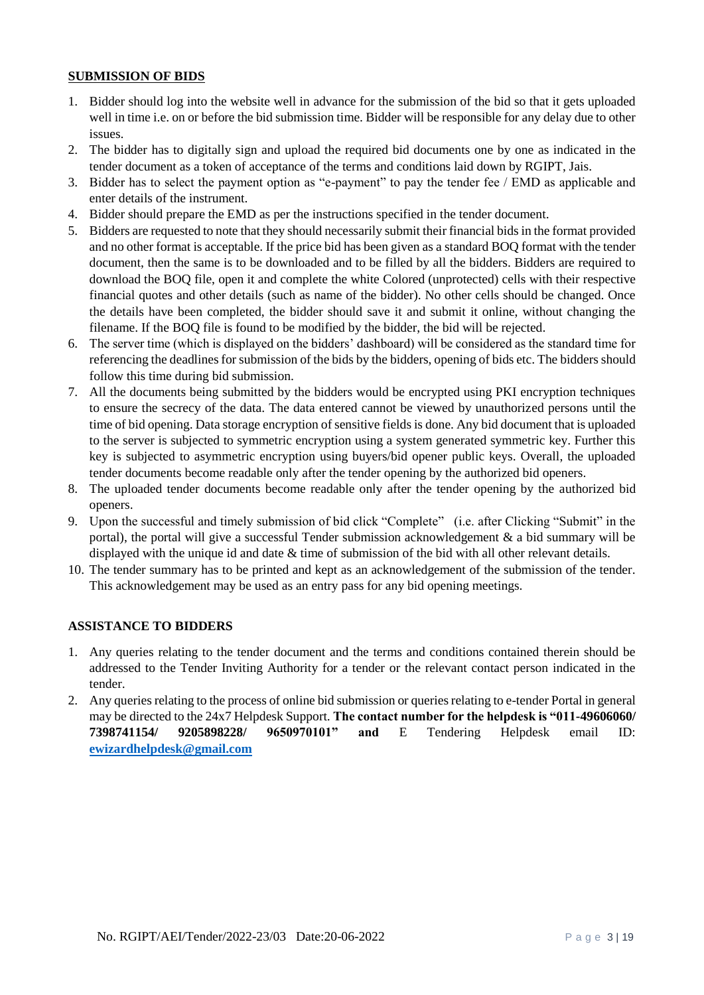# **SUBMISSION OF BIDS**

- 1. Bidder should log into the website well in advance for the submission of the bid so that it gets uploaded well in time i.e. on or before the bid submission time. Bidder will be responsible for any delay due to other issues.
- 2. The bidder has to digitally sign and upload the required bid documents one by one as indicated in the tender document as a token of acceptance of the terms and conditions laid down by RGIPT, Jais.
- 3. Bidder has to select the payment option as "e-payment" to pay the tender fee / EMD as applicable and enter details of the instrument.
- 4. Bidder should prepare the EMD as per the instructions specified in the tender document.
- 5. Bidders are requested to note that they should necessarily submit their financial bids in the format provided and no other format is acceptable. If the price bid has been given as a standard BOQ format with the tender document, then the same is to be downloaded and to be filled by all the bidders. Bidders are required to download the BOQ file, open it and complete the white Colored (unprotected) cells with their respective financial quotes and other details (such as name of the bidder). No other cells should be changed. Once the details have been completed, the bidder should save it and submit it online, without changing the filename. If the BOQ file is found to be modified by the bidder, the bid will be rejected.
- 6. The server time (which is displayed on the bidders' dashboard) will be considered as the standard time for referencing the deadlines for submission of the bids by the bidders, opening of bids etc. The bidders should follow this time during bid submission.
- 7. All the documents being submitted by the bidders would be encrypted using PKI encryption techniques to ensure the secrecy of the data. The data entered cannot be viewed by unauthorized persons until the time of bid opening. Data storage encryption of sensitive fields is done. Any bid document that is uploaded to the server is subjected to symmetric encryption using a system generated symmetric key. Further this key is subjected to asymmetric encryption using buyers/bid opener public keys. Overall, the uploaded tender documents become readable only after the tender opening by the authorized bid openers.
- 8. The uploaded tender documents become readable only after the tender opening by the authorized bid openers.
- 9. Upon the successful and timely submission of bid click "Complete" (i.e. after Clicking "Submit" in the portal), the portal will give a successful Tender submission acknowledgement & a bid summary will be displayed with the unique id and date & time of submission of the bid with all other relevant details.
- 10. The tender summary has to be printed and kept as an acknowledgement of the submission of the tender. This acknowledgement may be used as an entry pass for any bid opening meetings.

#### **ASSISTANCE TO BIDDERS**

- 1. Any queries relating to the tender document and the terms and conditions contained therein should be addressed to the Tender Inviting Authority for a tender or the relevant contact person indicated in the tender.
- 2. Any queries relating to the process of online bid submission or queries relating to e-tender Portal in general may be directed to the 24x7 Helpdesk Support. **The contact number for the helpdesk is "011-49606060/ 7398741154/ 9205898228/ 9650970101" and** E Tendering Helpdesk email ID: **<ewizardhelpdesk@gmail.com>**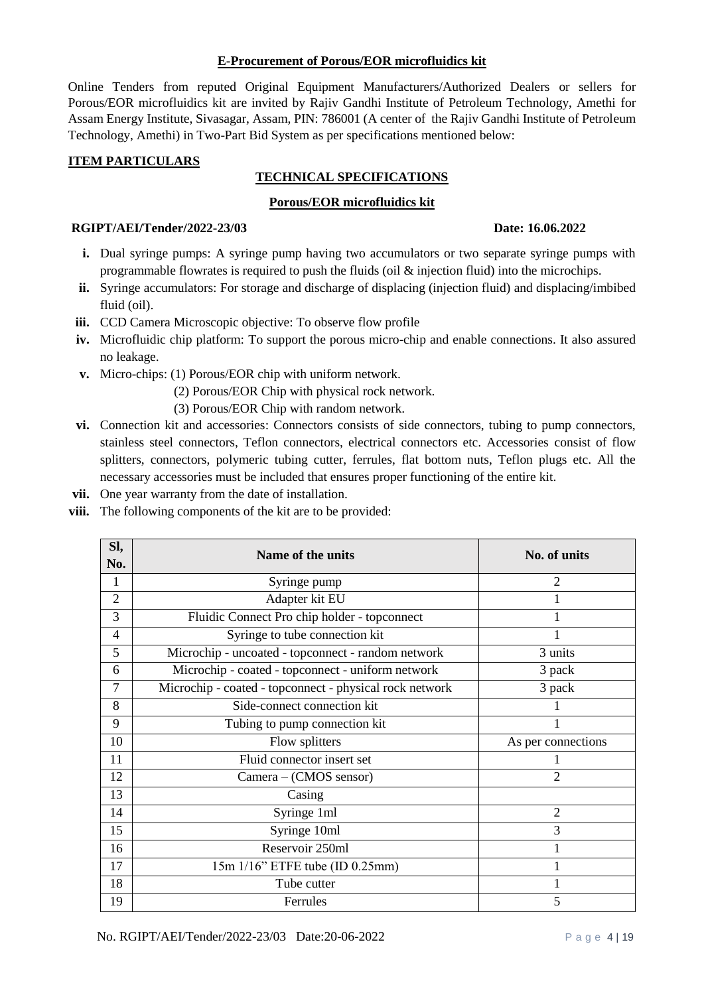#### **E-Procurement of Porous/EOR microfluidics kit**

Online Tenders from reputed Original Equipment Manufacturers/Authorized Dealers or sellers for Porous/EOR microfluidics kit are invited by Rajiv Gandhi Institute of Petroleum Technology, Amethi for Assam Energy Institute, Sivasagar, Assam, PIN: 786001 (A center of the Rajiv Gandhi Institute of Petroleum Technology, Amethi) in Two-Part Bid System as per specifications mentioned below:

# **ITEM PARTICULARS**

# **TECHNICAL SPECIFICATIONS**

# **Porous/EOR microfluidics kit**

#### **RGIPT/AEI/Tender/2022-23/03 Date: 16.06.2022**

- **i.** Dual syringe pumps: A syringe pump having two accumulators or two separate syringe pumps with programmable flowrates is required to push the fluids (oil & injection fluid) into the microchips.
- **ii.** Syringe accumulators: For storage and discharge of displacing (injection fluid) and displacing/imbibed fluid (oil).
- **iii.** CCD Camera Microscopic objective: To observe flow profile
- **iv.** Microfluidic chip platform: To support the porous micro-chip and enable connections. It also assured no leakage.
- **v.** Micro-chips: (1) Porous/EOR chip with uniform network.
	- (2) Porous/EOR Chip with physical rock network.
	- (3) Porous/EOR Chip with random network.
- **vi.** Connection kit and accessories: Connectors consists of side connectors, tubing to pump connectors, stainless steel connectors, Teflon connectors, electrical connectors etc. Accessories consist of flow splitters, connectors, polymeric tubing cutter, ferrules, flat bottom nuts, Teflon plugs etc. All the necessary accessories must be included that ensures proper functioning of the entire kit.
- **vii.** One year warranty from the date of installation.
- **viii.** The following components of the kit are to be provided:

| SI,            | Name of the units                                       | No. of units       |
|----------------|---------------------------------------------------------|--------------------|
| No.            |                                                         |                    |
| 1              | Syringe pump                                            | 2                  |
| $\overline{2}$ | Adapter kit EU                                          |                    |
| 3              | Fluidic Connect Pro chip holder - topconnect            |                    |
| 4              | Syringe to tube connection kit                          |                    |
| 5              | Microchip - uncoated - topconnect - random network      | 3 units            |
| 6              | Microchip - coated - topconnect - uniform network       | 3 pack             |
| 7              | Microchip - coated - topconnect - physical rock network | 3 pack             |
| 8              | Side-connect connection kit                             |                    |
| 9              | Tubing to pump connection kit                           |                    |
| 10             | Flow splitters                                          | As per connections |
| 11             | Fluid connector insert set                              |                    |
| 12             | Camera – (CMOS sensor)                                  | $\overline{2}$     |
| 13             | Casing                                                  |                    |
| 14             | Syringe 1ml                                             | $\overline{2}$     |
| 15             | Syringe 10ml                                            | 3                  |
| 16             | Reservoir 250ml                                         |                    |
| 17             | 15m 1/16" ETFE tube (ID 0.25mm)                         |                    |
| 18             | Tube cutter                                             |                    |
| 19             | Ferrules                                                | 5                  |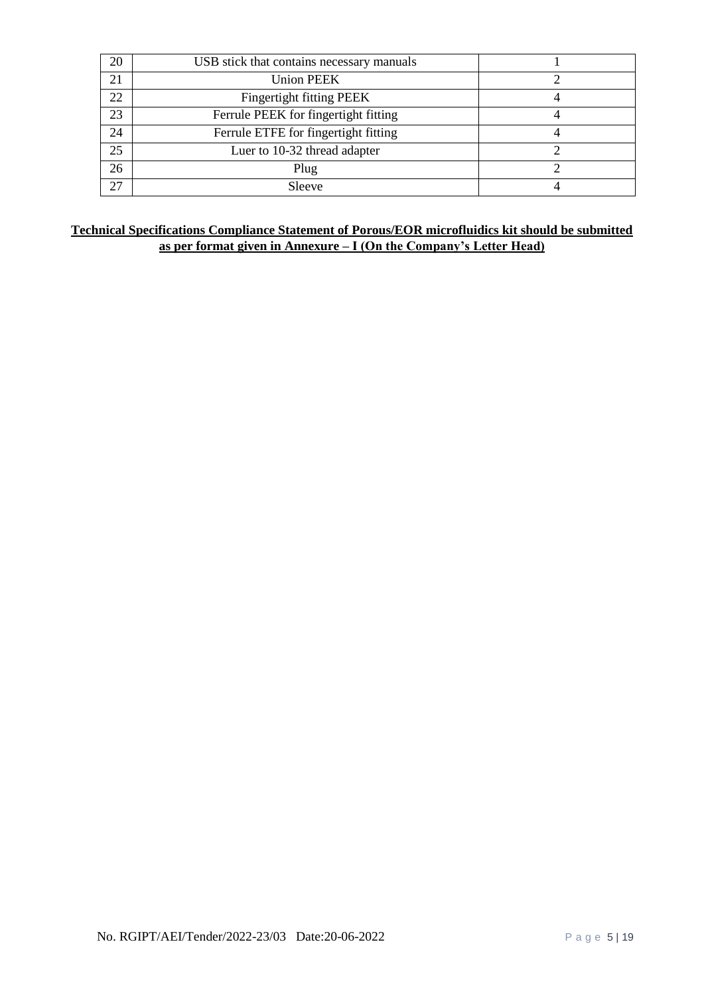| 20 | USB stick that contains necessary manuals |  |
|----|-------------------------------------------|--|
| 21 | <b>Union PEEK</b>                         |  |
| 22 | Fingertight fitting PEEK                  |  |
| 23 | Ferrule PEEK for fingertight fitting      |  |
| 24 | Ferrule ETFE for fingertight fitting      |  |
| 25 | Luer to 10-32 thread adapter              |  |
| 26 | Plug                                      |  |
| 27 | Sleeve                                    |  |

# **Technical Specifications Compliance Statement of Porous/EOR microfluidics kit should be submitted as per format given in Annexure – I (On the Company's Letter Head)**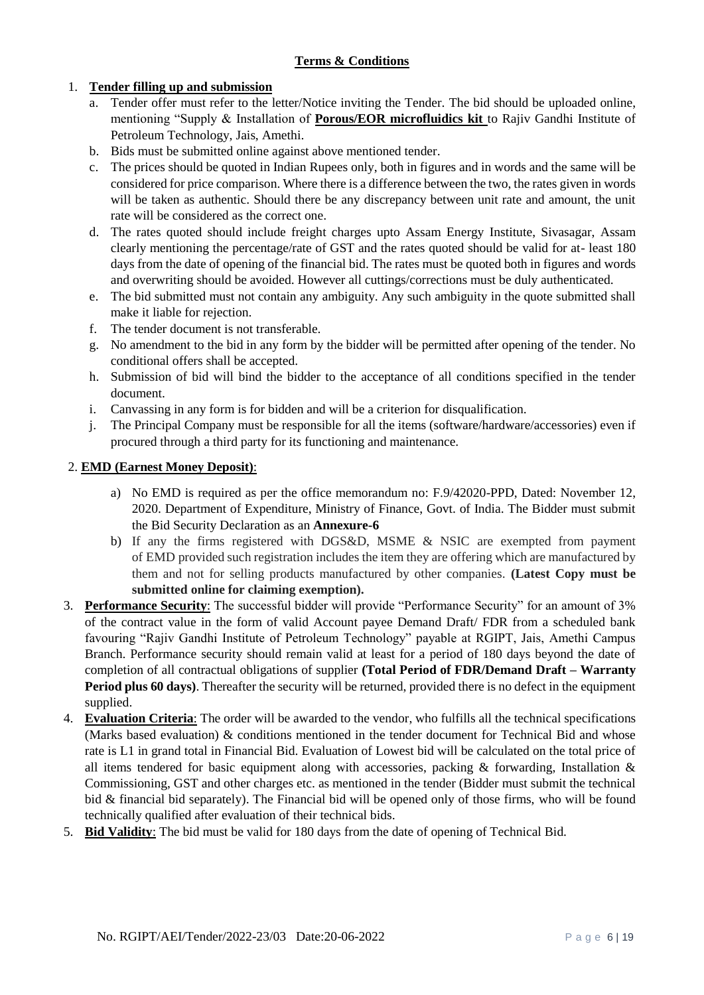# **Terms & Conditions**

# 1. **Tender filling up and submission**

- a. Tender offer must refer to the letter/Notice inviting the Tender. The bid should be uploaded online, mentioning "Supply & Installation of **Porous/EOR microfluidics kit** to Rajiv Gandhi Institute of Petroleum Technology, Jais, Amethi.
- b. Bids must be submitted online against above mentioned tender.
- c. The prices should be quoted in Indian Rupees only, both in figures and in words and the same will be considered for price comparison. Where there is a difference between the two, the rates given in words will be taken as authentic. Should there be any discrepancy between unit rate and amount, the unit rate will be considered as the correct one.
- d. The rates quoted should include freight charges upto Assam Energy Institute, Sivasagar, Assam clearly mentioning the percentage/rate of GST and the rates quoted should be valid for at- least 180 days from the date of opening of the financial bid. The rates must be quoted both in figures and words and overwriting should be avoided. However all cuttings/corrections must be duly authenticated.
- e. The bid submitted must not contain any ambiguity. Any such ambiguity in the quote submitted shall make it liable for rejection.
- f. The tender document is not transferable.
- g. No amendment to the bid in any form by the bidder will be permitted after opening of the tender. No conditional offers shall be accepted.
- h. Submission of bid will bind the bidder to the acceptance of all conditions specified in the tender document.
- i. Canvassing in any form is for bidden and will be a criterion for disqualification.
- j. The Principal Company must be responsible for all the items (software/hardware/accessories) even if procured through a third party for its functioning and maintenance.

# 2. **EMD (Earnest Money Deposit)**:

- a) No EMD is required as per the office memorandum no: F.9/42020-PPD, Dated: November 12, 2020. Department of Expenditure, Ministry of Finance, Govt. of India. The Bidder must submit the Bid Security Declaration as an **Annexure-6**
- b) If any the firms registered with DGS&D, MSME & NSIC are exempted from payment of EMD provided such registration includes the item they are offering which are manufactured by them and not for selling products manufactured by other companies. **(Latest Copy must be submitted online for claiming exemption).**
- 3. **Performance Security**: The successful bidder will provide "Performance Security" for an amount of 3% of the contract value in the form of valid Account payee Demand Draft/ FDR from a scheduled bank favouring "Rajiv Gandhi Institute of Petroleum Technology" payable at RGIPT, Jais, Amethi Campus Branch. Performance security should remain valid at least for a period of 180 days beyond the date of completion of all contractual obligations of supplier **(Total Period of FDR/Demand Draft – Warranty Period plus 60 days)**. Thereafter the security will be returned, provided there is no defect in the equipment supplied.
- 4. **Evaluation Criteria**: The order will be awarded to the vendor, who fulfills all the technical specifications (Marks based evaluation) & conditions mentioned in the tender document for Technical Bid and whose rate is L1 in grand total in Financial Bid. Evaluation of Lowest bid will be calculated on the total price of all items tendered for basic equipment along with accessories, packing & forwarding, Installation & Commissioning, GST and other charges etc. as mentioned in the tender (Bidder must submit the technical bid & financial bid separately). The Financial bid will be opened only of those firms, who will be found technically qualified after evaluation of their technical bids.
- 5. **Bid Validity**: The bid must be valid for 180 days from the date of opening of Technical Bid.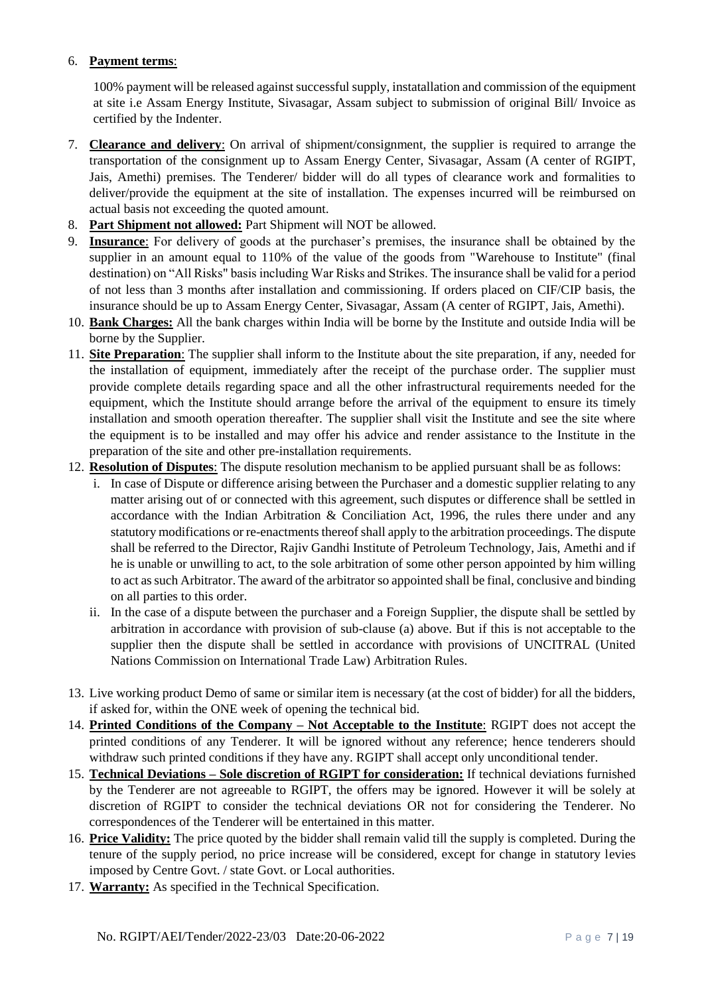# 6. **Payment terms**:

100% payment will be released against successful supply, instatallation and commission of the equipment at site i.e Assam Energy Institute, Sivasagar, Assam subject to submission of original Bill/ Invoice as certified by the Indenter.

- 7. **Clearance and delivery**: On arrival of shipment/consignment, the supplier is required to arrange the transportation of the consignment up to Assam Energy Center, Sivasagar, Assam (A center of RGIPT, Jais, Amethi) premises. The Tenderer/ bidder will do all types of clearance work and formalities to deliver/provide the equipment at the site of installation. The expenses incurred will be reimbursed on actual basis not exceeding the quoted amount.
- 8. **Part Shipment not allowed:** Part Shipment will NOT be allowed.
- 9. **Insurance**: For delivery of goods at the purchaser's premises, the insurance shall be obtained by the supplier in an amount equal to 110% of the value of the goods from "Warehouse to Institute" (final destination) on "All Risks" basis including War Risks and Strikes. The insurance shall be valid for a period of not less than 3 months after installation and commissioning. If orders placed on CIF/CIP basis, the insurance should be up to Assam Energy Center, Sivasagar, Assam (A center of RGIPT, Jais, Amethi).
- 10. **Bank Charges:** All the bank charges within India will be borne by the Institute and outside India will be borne by the Supplier.
- 11. **Site Preparation**: The supplier shall inform to the Institute about the site preparation, if any, needed for the installation of equipment, immediately after the receipt of the purchase order. The supplier must provide complete details regarding space and all the other infrastructural requirements needed for the equipment, which the Institute should arrange before the arrival of the equipment to ensure its timely installation and smooth operation thereafter. The supplier shall visit the Institute and see the site where the equipment is to be installed and may offer his advice and render assistance to the Institute in the preparation of the site and other pre-installation requirements.
- 12. **Resolution of Disputes**: The dispute resolution mechanism to be applied pursuant shall be as follows:
	- i. In case of Dispute or difference arising between the Purchaser and a domestic supplier relating to any matter arising out of or connected with this agreement, such disputes or difference shall be settled in accordance with the Indian Arbitration & Conciliation Act, 1996, the rules there under and any statutory modifications or re-enactments thereof shall apply to the arbitration proceedings. The dispute shall be referred to the Director, Rajiv Gandhi Institute of Petroleum Technology, Jais, Amethi and if he is unable or unwilling to act, to the sole arbitration of some other person appointed by him willing to act as such Arbitrator. The award of the arbitrator so appointed shall be final, conclusive and binding on all parties to this order.
	- ii. In the case of a dispute between the purchaser and a Foreign Supplier, the dispute shall be settled by arbitration in accordance with provision of sub-clause (a) above. But if this is not acceptable to the supplier then the dispute shall be settled in accordance with provisions of UNCITRAL (United Nations Commission on International Trade Law) Arbitration Rules.
- 13. Live working product Demo of same or similar item is necessary (at the cost of bidder) for all the bidders, if asked for, within the ONE week of opening the technical bid.
- 14. **Printed Conditions of the Company – Not Acceptable to the Institute**: RGIPT does not accept the printed conditions of any Tenderer. It will be ignored without any reference; hence tenderers should withdraw such printed conditions if they have any. RGIPT shall accept only unconditional tender.
- 15. **Technical Deviations – Sole discretion of RGIPT for consideration:** If technical deviations furnished by the Tenderer are not agreeable to RGIPT, the offers may be ignored. However it will be solely at discretion of RGIPT to consider the technical deviations OR not for considering the Tenderer. No correspondences of the Tenderer will be entertained in this matter.
- 16. **Price Validity:** The price quoted by the bidder shall remain valid till the supply is completed. During the tenure of the supply period, no price increase will be considered, except for change in statutory levies imposed by Centre Govt. / state Govt. or Local authorities.
- 17. **Warranty:** As specified in the Technical Specification.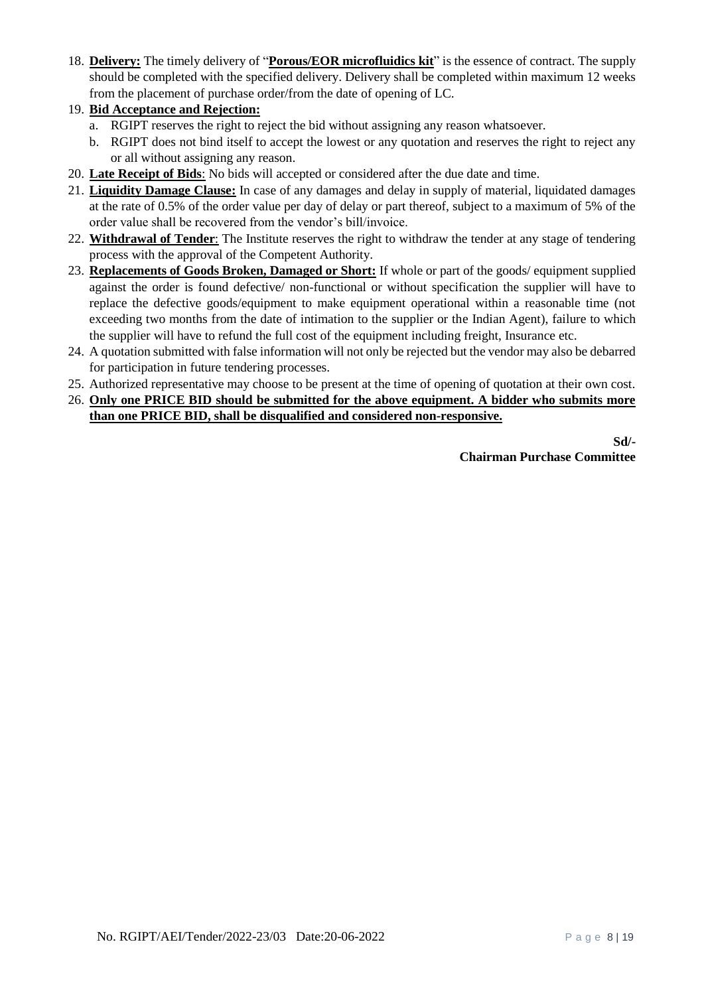- 18. **Delivery:** The timely delivery of "**Porous/EOR microfluidics kit**" is the essence of contract. The supply should be completed with the specified delivery. Delivery shall be completed within maximum 12 weeks from the placement of purchase order/from the date of opening of LC.
- 19. **Bid Acceptance and Rejection:**
	- a. RGIPT reserves the right to reject the bid without assigning any reason whatsoever.
	- b. RGIPT does not bind itself to accept the lowest or any quotation and reserves the right to reject any or all without assigning any reason.
- 20. **Late Receipt of Bids**: No bids will accepted or considered after the due date and time.
- 21. **Liquidity Damage Clause:** In case of any damages and delay in supply of material, liquidated damages at the rate of 0.5% of the order value per day of delay or part thereof, subject to a maximum of 5% of the order value shall be recovered from the vendor's bill/invoice.
- 22. **Withdrawal of Tender**: The Institute reserves the right to withdraw the tender at any stage of tendering process with the approval of the Competent Authority.
- 23. **Replacements of Goods Broken, Damaged or Short:** If whole or part of the goods/ equipment supplied against the order is found defective/ non-functional or without specification the supplier will have to replace the defective goods/equipment to make equipment operational within a reasonable time (not exceeding two months from the date of intimation to the supplier or the Indian Agent), failure to which the supplier will have to refund the full cost of the equipment including freight, Insurance etc.
- 24. A quotation submitted with false information will not only be rejected but the vendor may also be debarred for participation in future tendering processes.
- 25. Authorized representative may choose to be present at the time of opening of quotation at their own cost.
- 26. **Only one PRICE BID should be submitted for the above equipment. A bidder who submits more than one PRICE BID, shall be disqualified and considered non-responsive.**

**Sd/- Chairman Purchase Committee**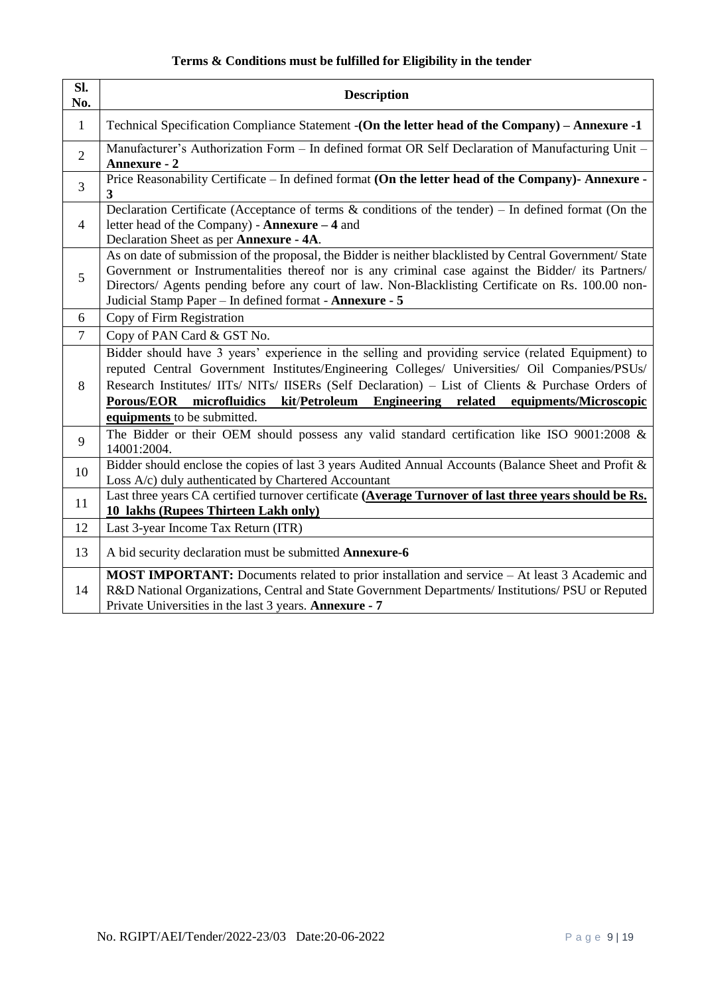# **Terms & Conditions must be fulfilled for Eligibility in the tender**

| SI.<br>No.                                                                                                                                                                                                                                                          | <b>Description</b>                                                                                                                                                                                                                                                                                                                                                                                                              |  |
|---------------------------------------------------------------------------------------------------------------------------------------------------------------------------------------------------------------------------------------------------------------------|---------------------------------------------------------------------------------------------------------------------------------------------------------------------------------------------------------------------------------------------------------------------------------------------------------------------------------------------------------------------------------------------------------------------------------|--|
| $\mathbf{1}$                                                                                                                                                                                                                                                        | Technical Specification Compliance Statement - (On the letter head of the Company) - Annexure -1                                                                                                                                                                                                                                                                                                                                |  |
| $\overline{2}$                                                                                                                                                                                                                                                      | Manufacturer's Authorization Form - In defined format OR Self Declaration of Manufacturing Unit -<br><b>Annexure - 2</b>                                                                                                                                                                                                                                                                                                        |  |
| $\overline{3}$                                                                                                                                                                                                                                                      | Price Reasonability Certificate - In defined format (On the letter head of the Company)- Annexure -<br>3                                                                                                                                                                                                                                                                                                                        |  |
| $\overline{4}$                                                                                                                                                                                                                                                      | Declaration Certificate (Acceptance of terms $\&$ conditions of the tender) – In defined format (On the<br>letter head of the Company) - Annexure - 4 and<br>Declaration Sheet as per Annexure - 4A.                                                                                                                                                                                                                            |  |
| 5                                                                                                                                                                                                                                                                   | As on date of submission of the proposal, the Bidder is neither blacklisted by Central Government/ State<br>Government or Instrumentalities thereof nor is any criminal case against the Bidder/ its Partners/<br>Directors/ Agents pending before any court of law. Non-Blacklisting Certificate on Rs. 100.00 non-<br>Judicial Stamp Paper - In defined format - Annexure - 5                                                 |  |
| 6                                                                                                                                                                                                                                                                   | Copy of Firm Registration                                                                                                                                                                                                                                                                                                                                                                                                       |  |
| $\tau$                                                                                                                                                                                                                                                              | Copy of PAN Card & GST No.                                                                                                                                                                                                                                                                                                                                                                                                      |  |
| 8                                                                                                                                                                                                                                                                   | Bidder should have 3 years' experience in the selling and providing service (related Equipment) to<br>reputed Central Government Institutes/Engineering Colleges/ Universities/ Oil Companies/PSUs/<br>Research Institutes/ IITs/ NITs/ IISERs (Self Declaration) - List of Clients & Purchase Orders of<br>Porous/EOR microfluidics kit/Petroleum Engineering related<br>equipments/Microscopic<br>equipments to be submitted. |  |
| 9                                                                                                                                                                                                                                                                   | The Bidder or their OEM should possess any valid standard certification like ISO 9001:2008 $\&$<br>14001:2004.                                                                                                                                                                                                                                                                                                                  |  |
| 10                                                                                                                                                                                                                                                                  | Bidder should enclose the copies of last 3 years Audited Annual Accounts (Balance Sheet and Profit &<br>Loss A/c) duly authenticated by Chartered Accountant                                                                                                                                                                                                                                                                    |  |
| 11                                                                                                                                                                                                                                                                  | Last three years CA certified turnover certificate (Average Turnover of last three years should be Rs.<br>10 lakhs (Rupees Thirteen Lakh only)                                                                                                                                                                                                                                                                                  |  |
| 12                                                                                                                                                                                                                                                                  | Last 3-year Income Tax Return (ITR)                                                                                                                                                                                                                                                                                                                                                                                             |  |
| 13                                                                                                                                                                                                                                                                  | A bid security declaration must be submitted <b>Annexure-6</b>                                                                                                                                                                                                                                                                                                                                                                  |  |
| MOST IMPORTANT: Documents related to prior installation and service - At least 3 Academic and<br>R&D National Organizations, Central and State Government Departments/ Institutions/ PSU or Reputed<br>14<br>Private Universities in the last 3 years. Annexure - 7 |                                                                                                                                                                                                                                                                                                                                                                                                                                 |  |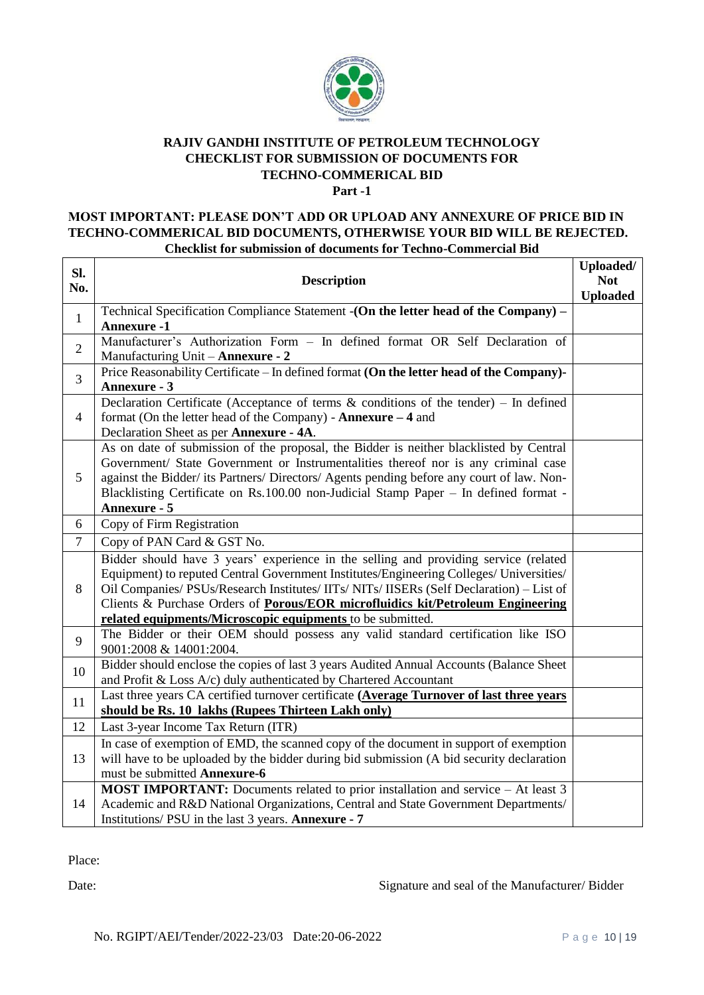

# **RAJIV GANDHI INSTITUTE OF PETROLEUM TECHNOLOGY CHECKLIST FOR SUBMISSION OF DOCUMENTS FOR TECHNO-COMMERICAL BID**

**Part -1**

# **MOST IMPORTANT: PLEASE DON'T ADD OR UPLOAD ANY ANNEXURE OF PRICE BID IN TECHNO-COMMERICAL BID DOCUMENTS, OTHERWISE YOUR BID WILL BE REJECTED. Checklist for submission of documents for Techno-Commercial Bid**

| Sl.            | <b>Description</b>                                                                                                                |                 |
|----------------|-----------------------------------------------------------------------------------------------------------------------------------|-----------------|
| No.            |                                                                                                                                   |                 |
| $\mathbf{1}$   | Technical Specification Compliance Statement - (On the letter head of the Company) –                                              | <b>Uploaded</b> |
|                | <b>Annexure -1</b>                                                                                                                |                 |
| $\overline{2}$ | Manufacturer's Authorization Form - In defined format OR Self Declaration of                                                      |                 |
|                | Manufacturing Unit - Annexure - 2                                                                                                 |                 |
| $\overline{3}$ | Price Reasonability Certificate – In defined format (On the letter head of the Company)-                                          |                 |
|                | <b>Annexure - 3</b>                                                                                                               |                 |
|                | Declaration Certificate (Acceptance of terms $\&$ conditions of the tender) – In defined                                          |                 |
| $\overline{4}$ | format (On the letter head of the Company) - Annexure $-4$ and                                                                    |                 |
|                | Declaration Sheet as per Annexure - 4A.<br>As on date of submission of the proposal, the Bidder is neither blacklisted by Central |                 |
|                | Government/ State Government or Instrumentalities thereof nor is any criminal case                                                |                 |
| 5              | against the Bidder/ its Partners/ Directors/ Agents pending before any court of law. Non-                                         |                 |
|                | Blacklisting Certificate on Rs.100.00 non-Judicial Stamp Paper - In defined format -                                              |                 |
|                | <b>Annexure - 5</b>                                                                                                               |                 |
| 6              | Copy of Firm Registration                                                                                                         |                 |
| $\tau$         | Copy of PAN Card & GST No.                                                                                                        |                 |
|                | Bidder should have 3 years' experience in the selling and providing service (related                                              |                 |
|                | Equipment) to reputed Central Government Institutes/Engineering Colleges/ Universities/                                           |                 |
| 8              | Oil Companies/ PSUs/Research Institutes/ IITs/ NITs/ IISERs (Self Declaration) - List of                                          |                 |
|                | Clients & Purchase Orders of Porous/EOR microfluidics kit/Petroleum Engineering                                                   |                 |
|                | related equipments/Microscopic equipments to be submitted.                                                                        |                 |
| 9              | The Bidder or their OEM should possess any valid standard certification like ISO                                                  |                 |
|                | 9001:2008 & 14001:2004.                                                                                                           |                 |
| 10             | Bidder should enclose the copies of last 3 years Audited Annual Accounts (Balance Sheet                                           |                 |
|                | and Profit & Loss A/c) duly authenticated by Chartered Accountant                                                                 |                 |
| 11             | Last three years CA certified turnover certificate (Average Turnover of last three years                                          |                 |
|                | should be Rs. 10 lakhs (Rupees Thirteen Lakh only)                                                                                |                 |
| 12             | Last 3-year Income Tax Return (ITR)                                                                                               |                 |
|                | In case of exemption of EMD, the scanned copy of the document in support of exemption                                             |                 |
| 13             | will have to be uploaded by the bidder during bid submission (A bid security declaration                                          |                 |
|                | must be submitted Annexure-6                                                                                                      |                 |
|                | <b>MOST IMPORTANT:</b> Documents related to prior installation and service – At least 3                                           |                 |
| 14             | Academic and R&D National Organizations, Central and State Government Departments/                                                |                 |
|                | Institutions/ PSU in the last 3 years. Annexure - 7                                                                               |                 |

Place:

Date: Signature and seal of the Manufacturer/ Bidder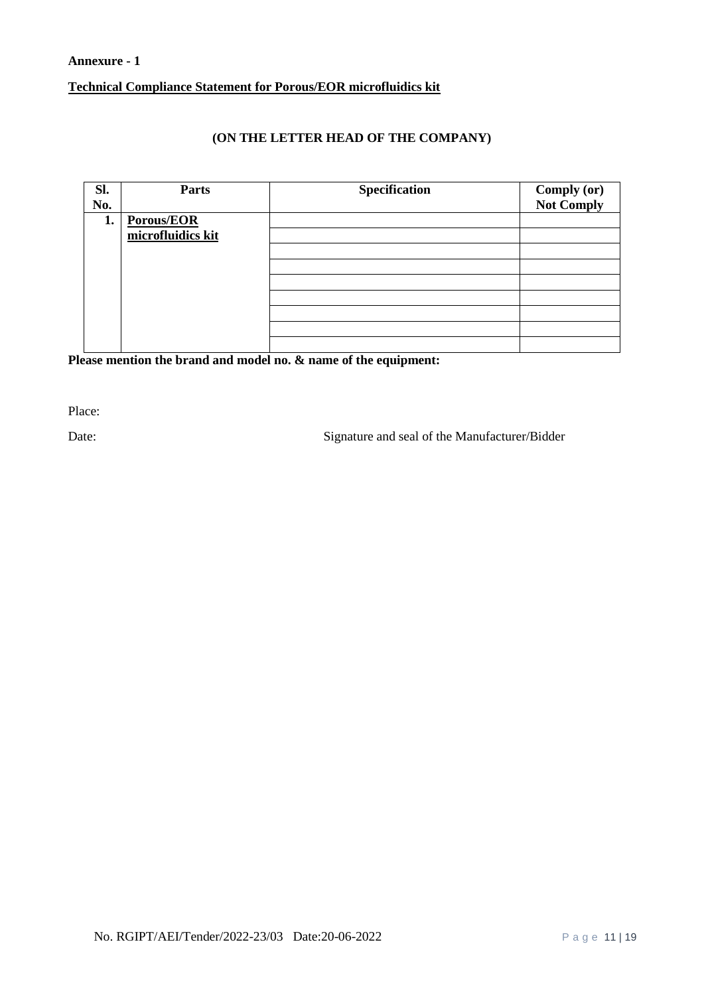# **Annexure - 1 Technical Compliance Statement for Porous/EOR microfluidics kit**

# **(ON THE LETTER HEAD OF THE COMPANY)**

| Sl. | Parts             | <b>Specification</b> | <b>Comply (or)</b><br>Not Comply |
|-----|-------------------|----------------------|----------------------------------|
| No. |                   |                      |                                  |
| 1.  | Porous/EOR        |                      |                                  |
|     | microfluidics kit |                      |                                  |
|     |                   |                      |                                  |
|     |                   |                      |                                  |
|     |                   |                      |                                  |
|     |                   |                      |                                  |
|     |                   |                      |                                  |
|     |                   |                      |                                  |
|     |                   |                      |                                  |

**Please mention the brand and model no. & name of the equipment:**

Place:

Date: Signature and seal of the Manufacturer/Bidder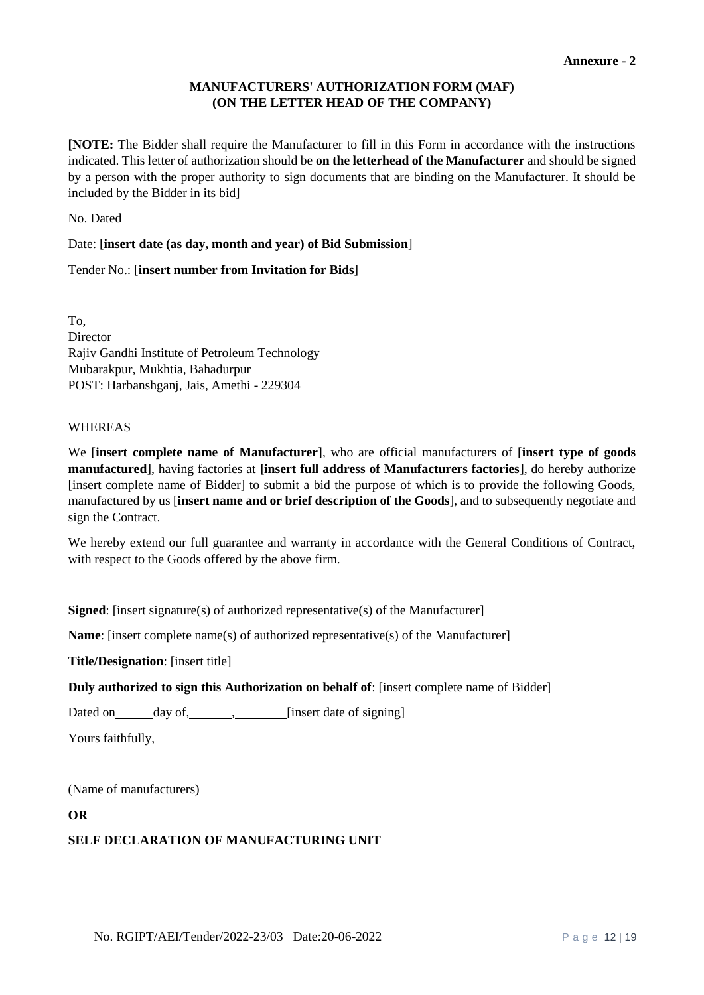# **MANUFACTURERS' AUTHORIZATION FORM (MAF) (ON THE LETTER HEAD OF THE COMPANY)**

**[NOTE:** The Bidder shall require the Manufacturer to fill in this Form in accordance with the instructions indicated. This letter of authorization should be **on the letterhead of the Manufacturer** and should be signed by a person with the proper authority to sign documents that are binding on the Manufacturer. It should be included by the Bidder in its bid]

No. Dated

Date: [**insert date (as day, month and year) of Bid Submission**]

Tender No.: [**insert number from Invitation for Bids**]

To, Director Rajiv Gandhi Institute of Petroleum Technology Mubarakpur, Mukhtia, Bahadurpur POST: Harbanshganj, Jais, Amethi - 229304

# WHEREAS

We [**insert complete name of Manufacturer**], who are official manufacturers of [**insert type of goods manufactured**], having factories at **[insert full address of Manufacturers factories**], do hereby authorize [insert complete name of Bidder] to submit a bid the purpose of which is to provide the following Goods, manufactured by us [**insert name and or brief description of the Goods**], and to subsequently negotiate and sign the Contract.

We hereby extend our full guarantee and warranty in accordance with the General Conditions of Contract, with respect to the Goods offered by the above firm.

**Signed:** [insert signature(s) of authorized representative(s) of the Manufacturer]

**Name**: [insert complete name(s) of authorized representative(s) of the Manufacturer]

**Title/Designation**: [insert title]

**Duly authorized to sign this Authorization on behalf of**: [insert complete name of Bidder]

Dated on \_\_\_\_\_\_ day of, \_\_\_\_\_\_\_, \_\_\_\_\_\_\_ [insert date of signing]

Yours faithfully,

(Name of manufacturers)

#### **OR**

# **SELF DECLARATION OF MANUFACTURING UNIT**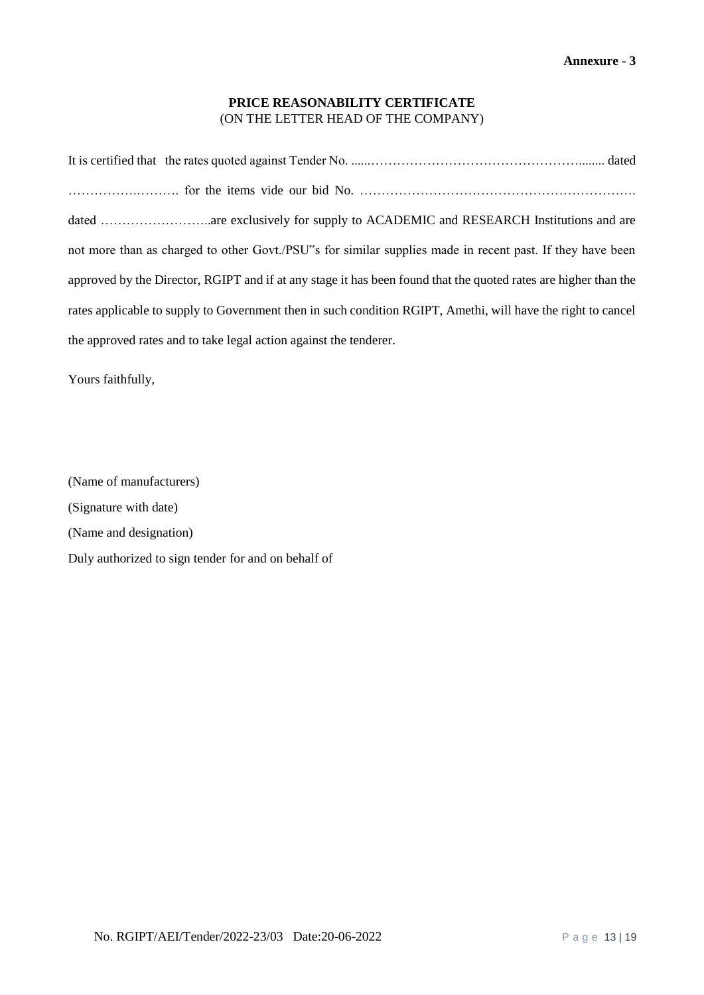# **PRICE REASONABILITY CERTIFICATE** (ON THE LETTER HEAD OF THE COMPANY)

| not more than as charged to other Govt./PSU"s for similar supplies made in recent past. If they have been       |
|-----------------------------------------------------------------------------------------------------------------|
| approved by the Director, RGIPT and if at any stage it has been found that the quoted rates are higher than the |
| rates applicable to supply to Government then in such condition RGIPT, Amethi, will have the right to cancel    |
| the approved rates and to take legal action against the tenderer.                                               |

Yours faithfully,

(Name of manufacturers) (Signature with date) (Name and designation) Duly authorized to sign tender for and on behalf of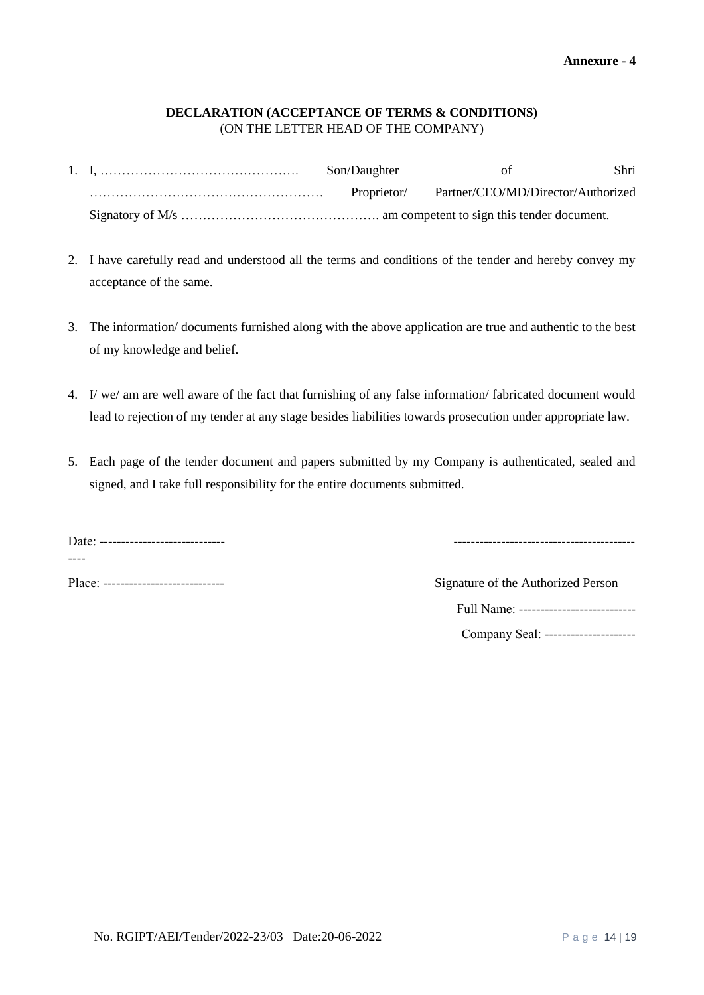#### **DECLARATION (ACCEPTANCE OF TERMS & CONDITIONS)** (ON THE LETTER HEAD OF THE COMPANY)

|  | Son/Daughter | of                                 | Shri |
|--|--------------|------------------------------------|------|
|  | Proprietor/  | Partner/CEO/MD/Director/Authorized |      |
|  |              |                                    |      |

- 2. I have carefully read and understood all the terms and conditions of the tender and hereby convey my acceptance of the same.
- 3. The information/ documents furnished along with the above application are true and authentic to the best of my knowledge and belief.
- 4. I/ we/ am are well aware of the fact that furnishing of any false information/ fabricated document would lead to rejection of my tender at any stage besides liabilities towards prosecution under appropriate law.
- 5. Each page of the tender document and papers submitted by my Company is authenticated, sealed and signed, and I take full responsibility for the entire documents submitted.

| Date: ------------------ |  |
|--------------------------|--|
|                          |  |

| ∽<br>Jale:<br>------------------------------- |  |
|-----------------------------------------------|--|
|-----------------------------------------------|--|

| Place: ----------------------------- | Signature of the Authorized Person     |
|--------------------------------------|----------------------------------------|
|                                      | Full Name: --------------------------- |

Company Seal: ----------------------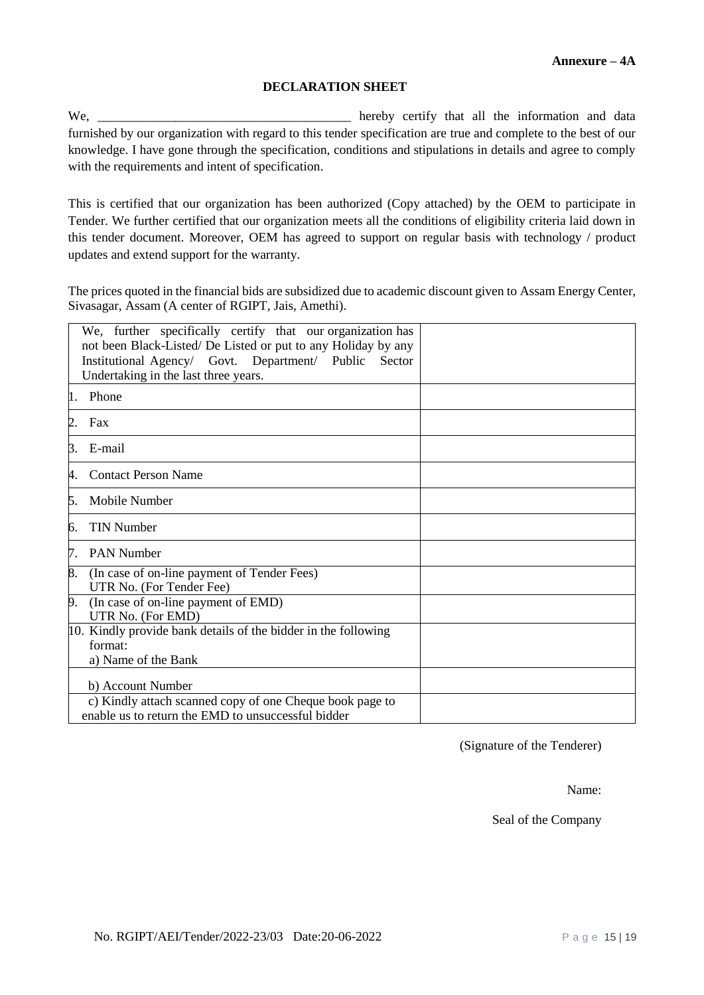#### **DECLARATION SHEET**

We, \_\_\_\_\_\_\_\_\_\_\_\_\_\_\_\_\_\_\_\_\_\_\_\_\_\_\_\_\_\_\_\_\_\_\_\_\_\_\_ hereby certify that all the information and data furnished by our organization with regard to this tender specification are true and complete to the best of our knowledge. I have gone through the specification, conditions and stipulations in details and agree to comply with the requirements and intent of specification.

This is certified that our organization has been authorized (Copy attached) by the OEM to participate in Tender. We further certified that our organization meets all the conditions of eligibility criteria laid down in this tender document. Moreover, OEM has agreed to support on regular basis with technology / product updates and extend support for the warranty.

The prices quoted in the financial bids are subsidized due to academic discount given to Assam Energy Center, Sivasagar, Assam (A center of RGIPT, Jais, Amethi).

|    | We, further specifically certify that our organization has<br>not been Black-Listed/De Listed or put to any Holiday by any |  |
|----|----------------------------------------------------------------------------------------------------------------------------|--|
|    | Institutional Agency/ Govt. Department/ Public<br>Sector                                                                   |  |
|    | Undertaking in the last three years.                                                                                       |  |
|    |                                                                                                                            |  |
| 1. | Phone                                                                                                                      |  |
| 2. | Fax                                                                                                                        |  |
| 3. | E-mail                                                                                                                     |  |
| 4. | <b>Contact Person Name</b>                                                                                                 |  |
| 5. | Mobile Number                                                                                                              |  |
| 6. | <b>TIN Number</b>                                                                                                          |  |
| 7. | <b>PAN Number</b>                                                                                                          |  |
| 8. | (In case of on-line payment of Tender Fees)<br>UTR No. (For Tender Fee)                                                    |  |
| 9. | (In case of on-line payment of EMD)                                                                                        |  |
|    | UTR No. (For EMD)                                                                                                          |  |
|    | 10. Kindly provide bank details of the bidder in the following                                                             |  |
|    | format:                                                                                                                    |  |
|    | a) Name of the Bank                                                                                                        |  |
|    | b) Account Number                                                                                                          |  |
|    |                                                                                                                            |  |
|    | c) Kindly attach scanned copy of one Cheque book page to<br>enable us to return the EMD to unsuccessful bidder             |  |
|    |                                                                                                                            |  |

(Signature of the Tenderer)

Name:

Seal of the Company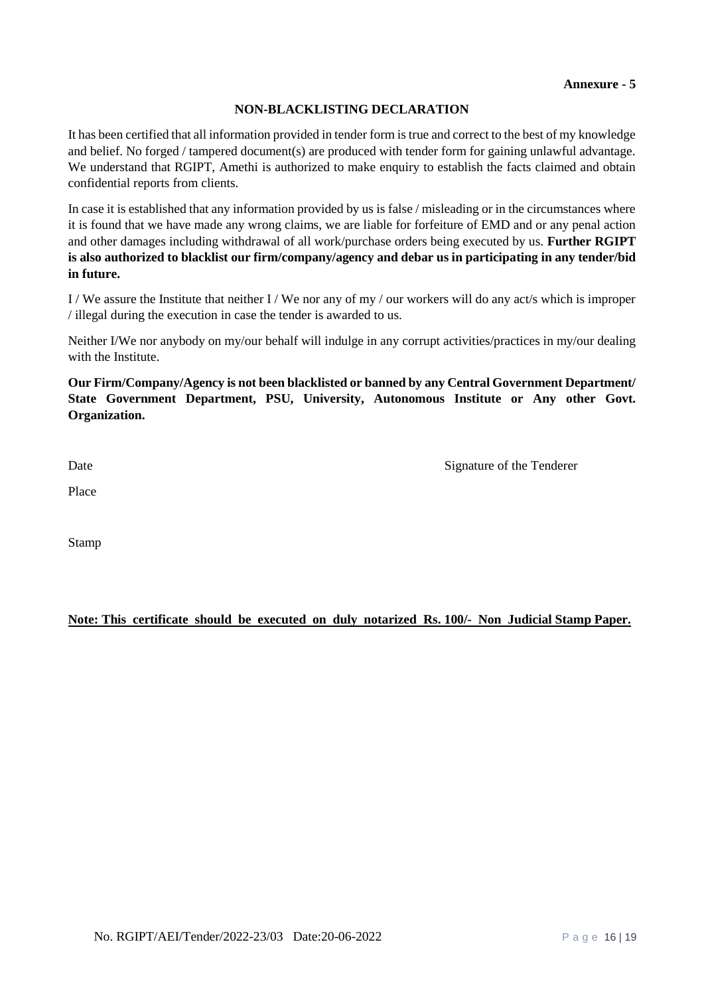# **NON-BLACKLISTING DECLARATION**

It has been certified that all information provided in tender form is true and correct to the best of my knowledge and belief. No forged / tampered document(s) are produced with tender form for gaining unlawful advantage. We understand that RGIPT, Amethi is authorized to make enquiry to establish the facts claimed and obtain confidential reports from clients.

In case it is established that any information provided by us is false / misleading or in the circumstances where it is found that we have made any wrong claims, we are liable for forfeiture of EMD and or any penal action and other damages including withdrawal of all work/purchase orders being executed by us. **Further RGIPT is also authorized to blacklist our firm/company/agency and debar us in participating in any tender/bid in future.**

I / We assure the Institute that neither I / We nor any of my / our workers will do any act/s which is improper / illegal during the execution in case the tender is awarded to us.

Neither I/We nor anybody on my/our behalf will indulge in any corrupt activities/practices in my/our dealing with the Institute.

**Our Firm/Company/Agency is not been blacklisted or banned by any Central Government Department/ State Government Department, PSU, University, Autonomous Institute or Any other Govt. Organization.**

Date Signature of the Tenderer

Place **Place** 

Stamp

**Note: This certificate should be executed on duly notarized Rs. 100/- Non Judicial Stamp Paper.**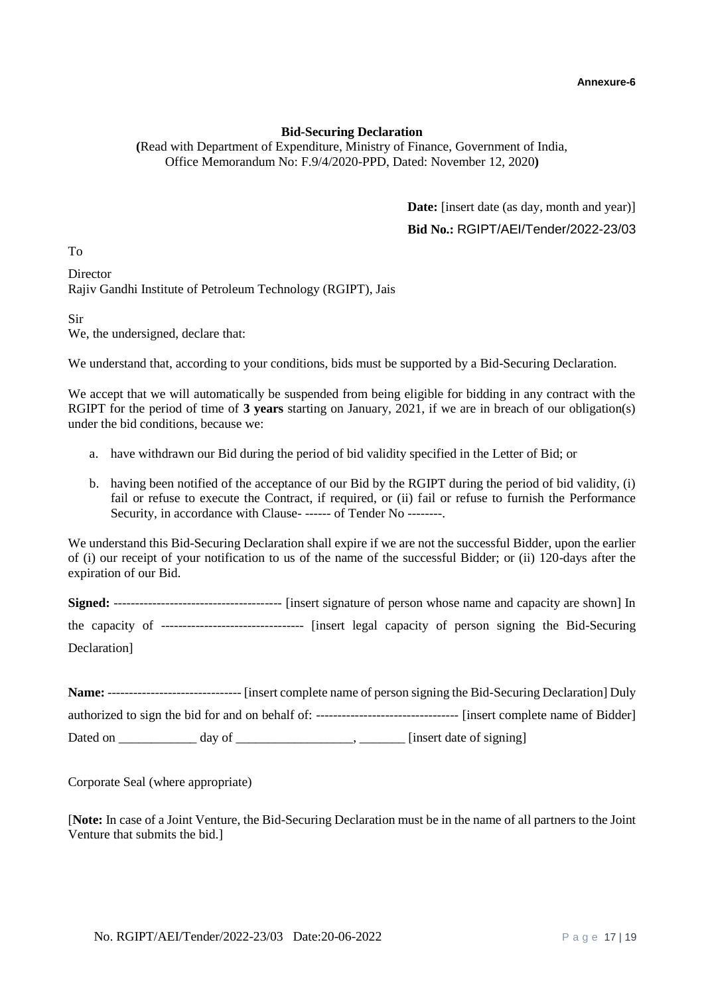#### **Bid-Securing Declaration**

**(**Read with Department of Expenditure, Ministry of Finance, Government of India, Office Memorandum No: F.9/4/2020-PPD, Dated: November 12, 2020**)**

> **Date:** [insert date (as day, month and year)] **Bid No.:** RGIPT/AEI/Tender/2022-23/03

To

**Director** Rajiv Gandhi Institute of Petroleum Technology (RGIPT), Jais

Sir

We, the undersigned, declare that:

We understand that, according to your conditions, bids must be supported by a Bid-Securing Declaration.

We accept that we will automatically be suspended from being eligible for bidding in any contract with the RGIPT for the period of time of **3 years** starting on January, 2021, if we are in breach of our obligation(s) under the bid conditions, because we:

- a. have withdrawn our Bid during the period of bid validity specified in the Letter of Bid; or
- b. having been notified of the acceptance of our Bid by the RGIPT during the period of bid validity, (i) fail or refuse to execute the Contract, if required, or (ii) fail or refuse to furnish the Performance Security, in accordance with Clause- ------ of Tender No --------.

We understand this Bid-Securing Declaration shall expire if we are not the successful Bidder, upon the earlier of (i) our receipt of your notification to us of the name of the successful Bidder; or (ii) 120-days after the expiration of our Bid.

**Signed:** --------------------------------------- [insert signature of person whose name and capacity are shown] In the capacity of --------------------------------- [insert legal capacity of person signing the Bid-Securing Declaration]

| <b>Name:</b> --- |        | [insert complete name of person signing the Bid-Securing Declaration] Duly                                               |
|------------------|--------|--------------------------------------------------------------------------------------------------------------------------|
|                  |        | authorized to sign the bid for and on behalf of: --------------------------------<br>-- [insert complete name of Bidder] |
| Dated on         | day of | [insert date of signing]                                                                                                 |

Corporate Seal (where appropriate)

[**Note:** In case of a Joint Venture, the Bid-Securing Declaration must be in the name of all partners to the Joint Venture that submits the bid.]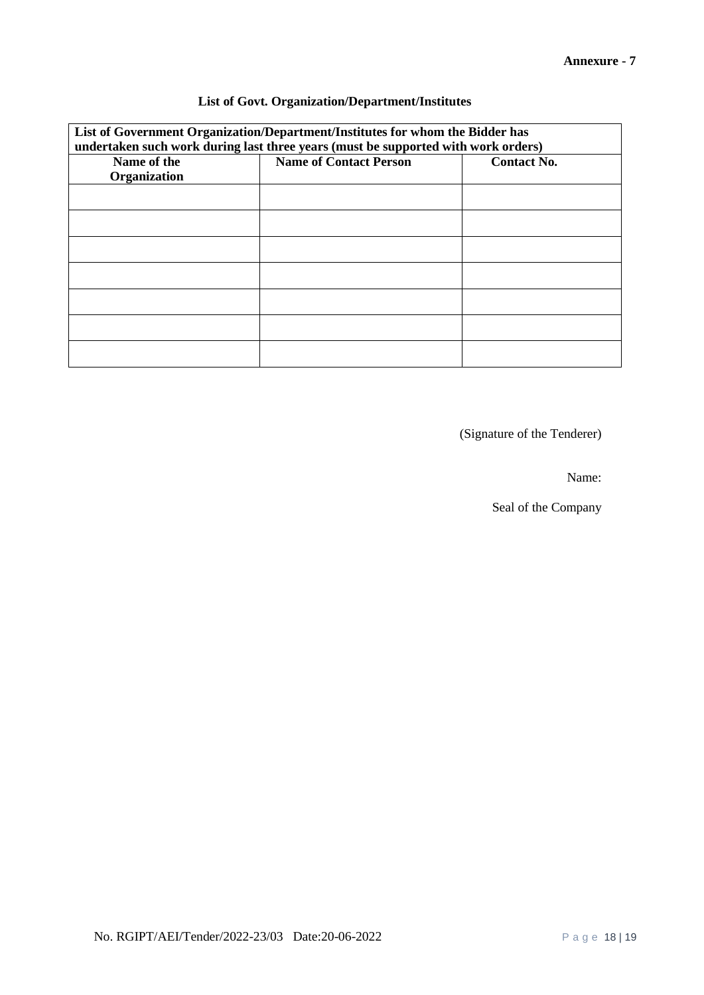# **List of Govt. Organization/Department/Institutes**

| List of Government Organization/Department/Institutes for whom the Bidder has<br>undertaken such work during last three years (must be supported with work orders) |                               |                    |  |  |
|--------------------------------------------------------------------------------------------------------------------------------------------------------------------|-------------------------------|--------------------|--|--|
| Name of the<br>Organization                                                                                                                                        | <b>Name of Contact Person</b> | <b>Contact No.</b> |  |  |
|                                                                                                                                                                    |                               |                    |  |  |
|                                                                                                                                                                    |                               |                    |  |  |
|                                                                                                                                                                    |                               |                    |  |  |
|                                                                                                                                                                    |                               |                    |  |  |
|                                                                                                                                                                    |                               |                    |  |  |
|                                                                                                                                                                    |                               |                    |  |  |
|                                                                                                                                                                    |                               |                    |  |  |

(Signature of the Tenderer)

Name:

Seal of the Company